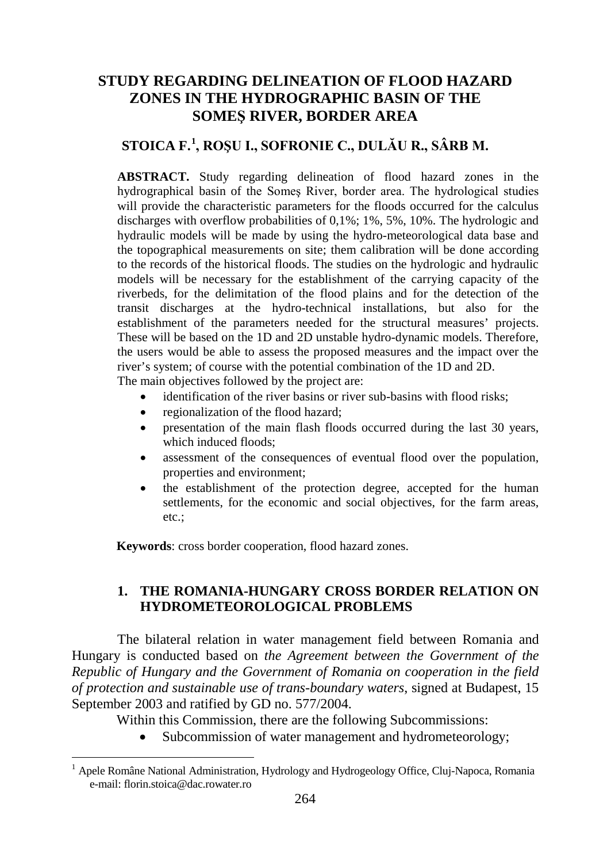# **STUDY REGARDING DELINEATION OF FLOOD HAZARD ZONES IN THE HYDROGRAPHIC BASIN OF THE SOMEŞ RIVER, BORDER AREA**

# **STOICA F.[1](#page-0-0) , ROŞU I., SOFRONIE C., DULĂU R., SÂRB M.**

**ABSTRACT.** Study regarding delineation of flood hazard zones in the hydrographical basin of the Someş River, border area. The hydrological studies will provide the characteristic parameters for the floods occurred for the calculus discharges with overflow probabilities of 0,1%; 1%, 5%, 10%. The hydrologic and hydraulic models will be made by using the hydro-meteorological data base and the topographical measurements on site; them calibration will be done according to the records of the historical floods. The studies on the hydrologic and hydraulic models will be necessary for the establishment of the carrying capacity of the riverbeds, for the delimitation of the flood plains and for the detection of the transit discharges at the hydro-technical installations, but also for the establishment of the parameters needed for the structural measures' projects. These will be based on the 1D and 2D unstable hydro-dynamic models. Therefore, the users would be able to assess the proposed measures and the impact over the river's system; of course with the potential combination of the 1D and 2D. The main objectives followed by the project are:

• identification of the river basins or river sub-basins with flood risks;

- regionalization of the flood hazard;
- presentation of the main flash floods occurred during the last 30 years, which induced floods;
- assessment of the consequences of eventual flood over the population, properties and environment;
- the establishment of the protection degree, accepted for the human settlements, for the economic and social objectives, for the farm areas, etc.;

**Keywords**: cross border cooperation, flood hazard zones.

 $\overline{\phantom{a}}$ 

#### **1. THE ROMANIA-HUNGARY CROSS BORDER RELATION ON HYDROMETEOROLOGICAL PROBLEMS**

The bilateral relation in water management field between Romania and Hungary is conducted based on *the Agreement between the Government of the Republic of Hungary and the Government of Romania on cooperation in the field of protection and sustainable use of trans-boundary waters*, signed at Budapest, 15 September 2003 and ratified by GD no. 577/2004.

Within this Commission, there are the following Subcommissions:

• Subcommission of water management and hydrometeorology;

<span id="page-0-0"></span><sup>&</sup>lt;sup>1</sup> Apele Române National Administration, Hydrology and Hydrogeology Office, Cluj-Napoca, Romania e-mail: florin.stoica@dac.rowater.ro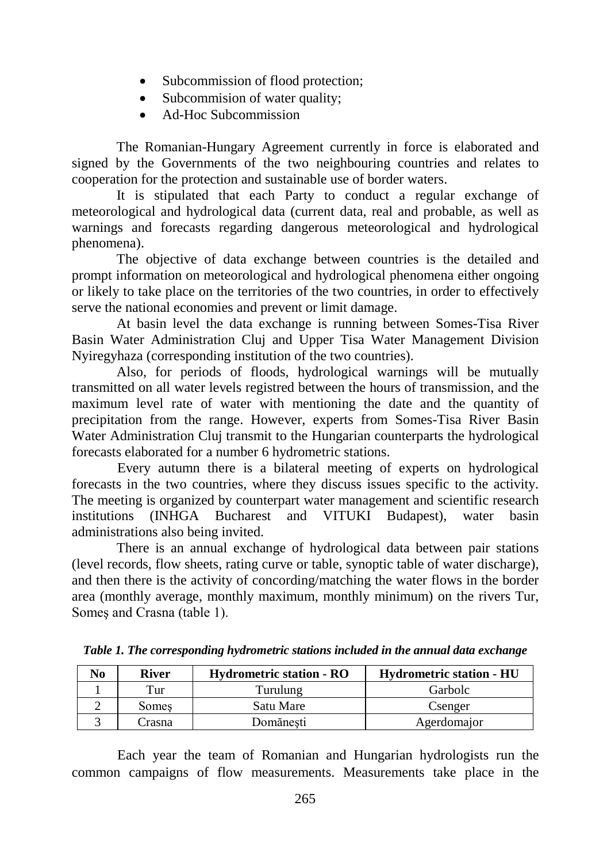- Subcommission of flood protection;
- Subcommision of water quality:
- Ad-Hoc Subcommission

The Romanian-Hungary Agreement currently in force is elaborated and signed by the Governments of the two neighbouring countries and relates to cooperation for the protection and sustainable use of border waters.

It is stipulated that each Party to conduct a regular exchange of meteorological and hydrological data (current data, real and probable, as well as warnings and forecasts regarding dangerous meteorological and hydrological phenomena).

The objective of data exchange between countries is the detailed and prompt information on meteorological and hydrological phenomena either ongoing or likely to take place on the territories of the two countries, in order to effectively serve the national economies and prevent or limit damage.

At basin level the data exchange is running between Somes-Tisa River Basin Water Administration Cluj and Upper Tisa Water Management Division Nyiregyhaza (corresponding institution of the two countries).

Also, for periods of floods, hydrological warnings will be mutually transmitted on all water levels registred between the hours of transmission, and the maximum level rate of water with mentioning the date and the quantity of precipitation from the range. However, experts from Somes-Tisa River Basin Water Administration Cluj transmit to the Hungarian counterparts the hydrological forecasts elaborated for a number 6 hydrometric stations.

Every autumn there is a bilateral meeting of experts on hydrological forecasts in the two countries, where they discuss issues specific to the activity. The meeting is organized by counterpart water management and scientific research institutions (INHGA Bucharest and VITUKI Budapest), water basin administrations also being invited.

There is an annual exchange of hydrological data between pair stations (level records, flow sheets, rating curve or table, synoptic table of water discharge), and then there is the activity of concording/matching the water flows in the border area (monthly average, monthly maximum, monthly minimum) on the rivers Tur, Someş and Crasna (table 1).

| No | <b>River</b> | <b>Hydrometric station - RO</b> | <b>Hydrometric station - HU</b> |
|----|--------------|---------------------------------|---------------------------------|
|    | Tur          | Turulung                        | Garbolc                         |
|    | Somes        | Satu Mare                       | Csenger                         |
|    | ∠rasna       | Domănesti                       | Agerdomaior                     |

*Table 1. The corresponding hydrometric stations included in the annual data exchange*

Each year the team of Romanian and Hungarian hydrologists run the common campaigns of flow measurements. Measurements take place in the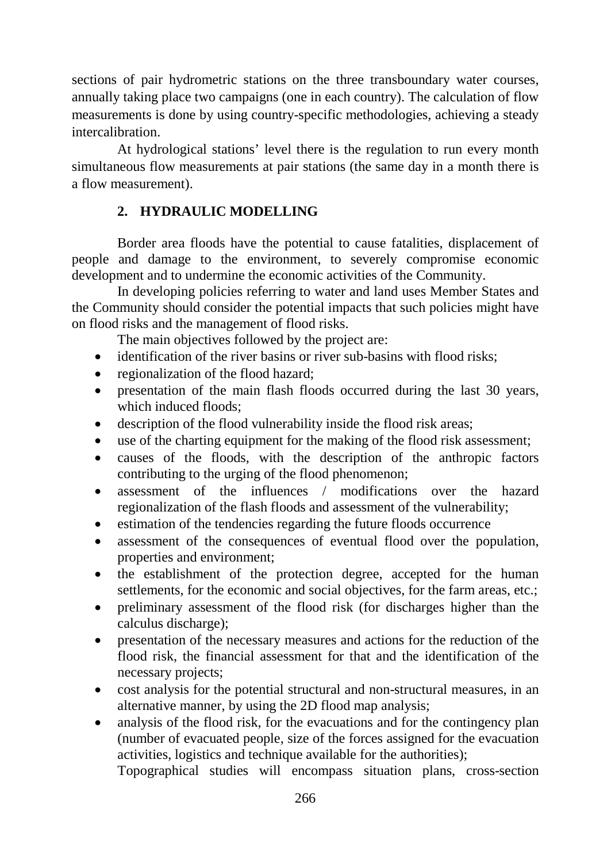sections of pair hydrometric stations on the three transboundary water courses, annually taking place two campaigns (one in each country). The calculation of flow measurements is done by using country-specific methodologies, achieving a steady intercalibration.

At hydrological stations' level there is the regulation to run every month simultaneous flow measurements at pair stations (the same day in a month there is a flow measurement).

## **2. HYDRAULIC MODELLING**

Border area floods have the potential to cause fatalities, displacement of people and damage to the environment, to severely compromise economic development and to undermine the economic activities of the Community.

In developing policies referring to water and land uses Member States and the Community should consider the potential impacts that such policies might have on flood risks and the management of flood risks.

The main objectives followed by the project are:

- identification of the river basins or river sub-basins with flood risks;
- regionalization of the flood hazard;
- presentation of the main flash floods occurred during the last 30 years, which induced floods;
- description of the flood vulnerability inside the flood risk areas;
- use of the charting equipment for the making of the flood risk assessment;
- causes of the floods, with the description of the anthropic factors contributing to the urging of the flood phenomenon;
- assessment of the influences / modifications over the hazard regionalization of the flash floods and assessment of the vulnerability;
- estimation of the tendencies regarding the future floods occurrence
- assessment of the consequences of eventual flood over the population, properties and environment;
- the establishment of the protection degree, accepted for the human settlements, for the economic and social objectives, for the farm areas, etc.;
- preliminary assessment of the flood risk (for discharges higher than the calculus discharge);
- presentation of the necessary measures and actions for the reduction of the flood risk, the financial assessment for that and the identification of the necessary projects;
- cost analysis for the potential structural and non-structural measures, in an alternative manner, by using the 2D flood map analysis;
- analysis of the flood risk, for the evacuations and for the contingency plan (number of evacuated people, size of the forces assigned for the evacuation activities, logistics and technique available for the authorities);

Topographical studies will encompass situation plans, cross-section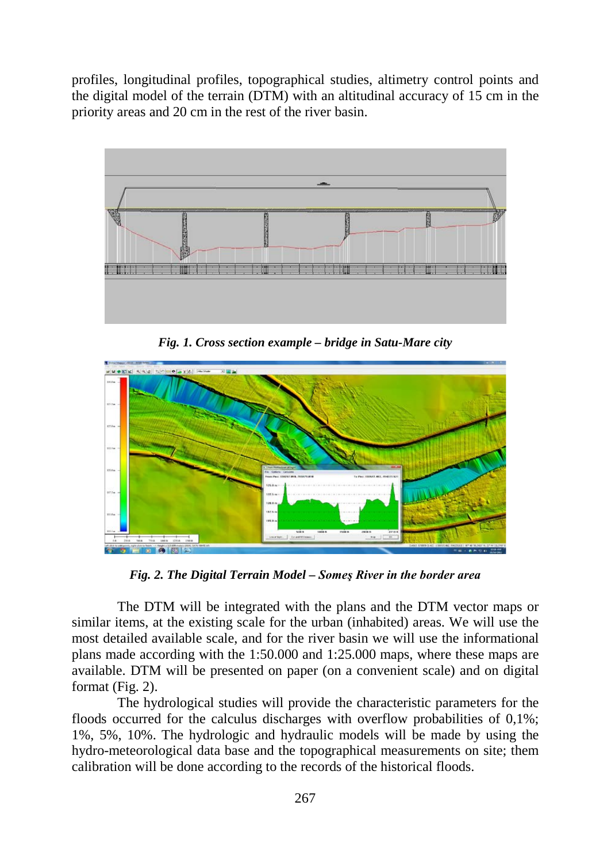profiles, longitudinal profiles, topographical studies, altimetry control points and the digital model of the terrain (DTM) with an altitudinal accuracy of 15 cm in the priority areas and 20 cm in the rest of the river basin.



*Fig. 1. Cross section example – bridge in Satu-Mare city*



*Fig. 2. The Digital Terrain Model – Someş River in the border area* 

The DTM will be integrated with the plans and the DTM vector maps or similar items, at the existing scale for the urban (inhabited) areas. We will use the most detailed available scale, and for the river basin we will use the informational plans made according with the 1:50.000 and 1:25.000 maps, where these maps are available. DTM will be presented on paper (on a convenient scale) and on digital format (Fig. 2).

The hydrological studies will provide the characteristic parameters for the floods occurred for the calculus discharges with overflow probabilities of 0,1%; 1%, 5%, 10%. The hydrologic and hydraulic models will be made by using the hydro-meteorological data base and the topographical measurements on site; them calibration will be done according to the records of the historical floods.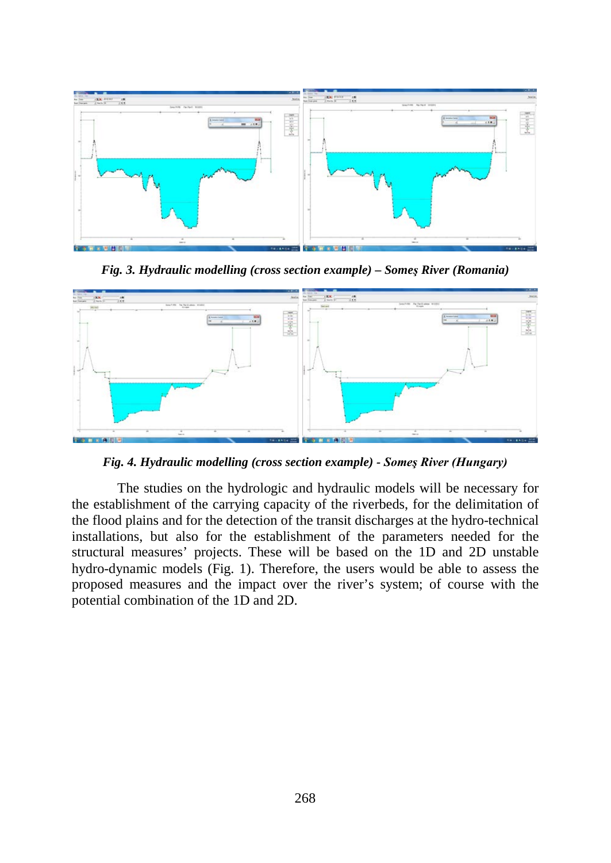

*Fig. 3. Hydraulic modelling (cross section example) – Someş River (Romania)*



*Fig. 4. Hydraulic modelling (cross section example) - Someş River (Hungary)*

The studies on the hydrologic and hydraulic models will be necessary for the establishment of the carrying capacity of the riverbeds, for the delimitation of the flood plains and for the detection of the transit discharges at the hydro-technical installations, but also for the establishment of the parameters needed for the structural measures' projects. These will be based on the 1D and 2D unstable hydro-dynamic models (Fig. 1). Therefore, the users would be able to assess the proposed measures and the impact over the river's system; of course with the potential combination of the 1D and 2D.